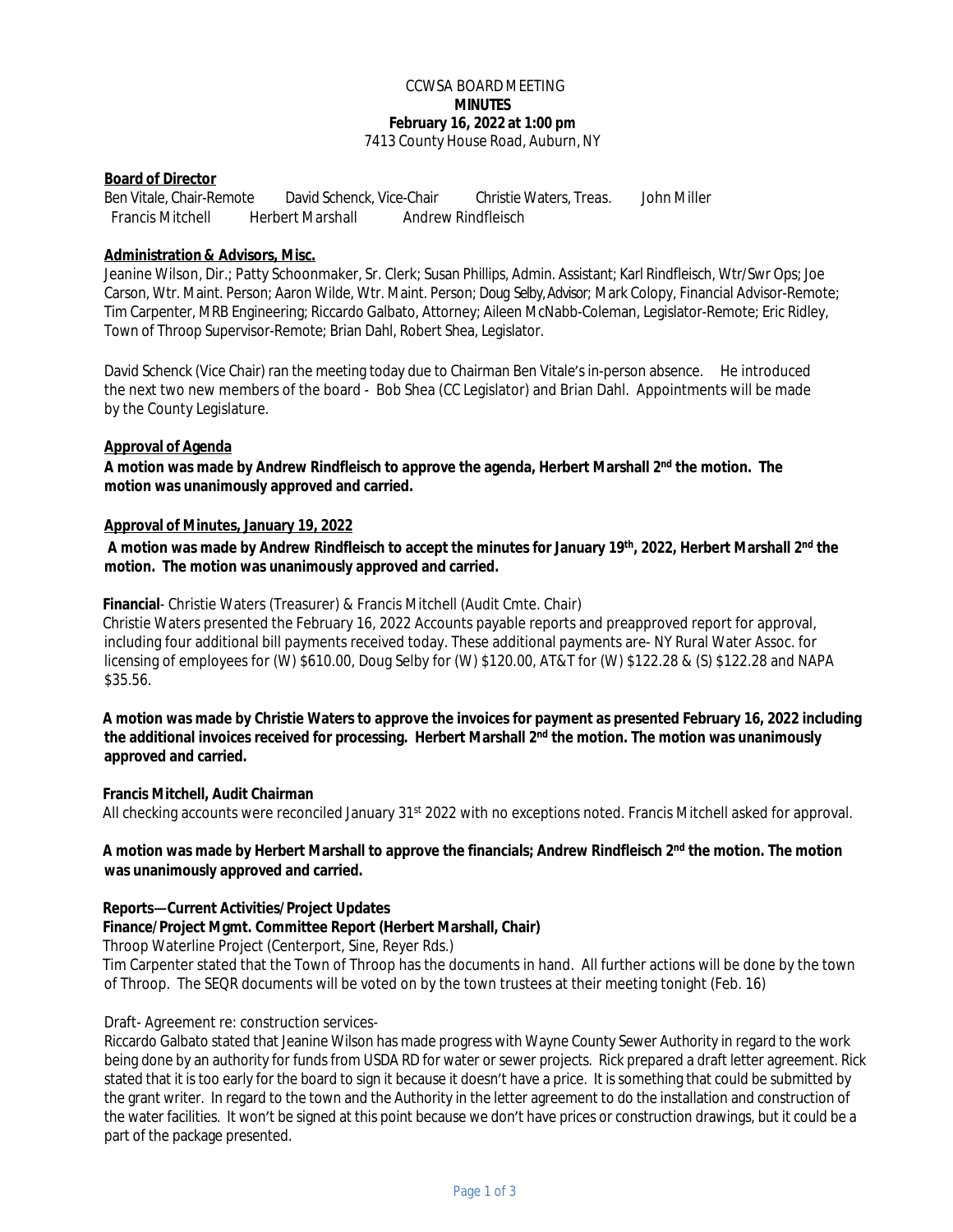#### CCWSA BOARD MEETING **MINUTES February 16, 2022 at 1:00 pm** 7413 County House Road, Auburn, NY

### **Board of Director**

Ben Vitale, Chair-Remote David Schenck, Vice-Chair Christie Waters, Treas. John Miller Francis Mitchell Herbert Marshall Andrew Rindfleisch

## **Administration & Advisors, Misc.**

Jeanine Wilson, Dir.; Patty Schoonmaker, Sr. Clerk; Susan Phillips, Admin. Assistant; Karl Rindfleisch, Wtr/Swr Ops; Joe Carson, Wtr. Maint. Person; Aaron Wilde, Wtr. Maint. Person; Doug Selby,Advisor; Mark Colopy, Financial Advisor-Remote; Tim Carpenter, MRB Engineering; Riccardo Galbato, Attorney; Aileen McNabb-Coleman, Legislator-Remote; Eric Ridley, Town of Throop Supervisor-Remote; Brian Dahl, Robert Shea, Legislator.

David Schenck (Vice Chair) ran the meeting today due to Chairman Ben Vitale's in-person absence. He introduced the next two new members of the board - Bob Shea (CC Legislator) and Brian Dahl. Appointments will be made by the County Legislature.

#### **Approval of Agenda**

**A motion was made by Andrew Rindfleisch to approve the agenda, Herbert Marshall 2nd the motion. The motion was unanimously approved and carried.**

## **Approval of Minutes, January 19, 2022**

**A motion was made by Andrew Rindfleisch to accept the minutes for January 19th , 2022, Herbert Marshall 2nd the motion. The motion was unanimously approved and carried.**

#### **Financial**- Christie Waters (Treasurer) & Francis Mitchell (Audit Cmte. Chair)

Christie Waters presented the February 16, 2022 Accounts payable reports and preapproved report for approval, including four additional bill payments received today. These additional payments are- NY Rural Water Assoc. for licensing of employees for (W) \$610.00, Doug Selby for (W) \$120.00, AT&T for (W) \$122.28 & (S) \$122.28 and NAPA \$35.56.

# **A motion was made by Christie Waters to approve the invoices for payment as presented February 16, 2022 including the additional invoices received for processing. Herbert Marshall 2nd the motion. The motion was unanimously approved and carried.**

#### **Francis Mitchell, Audit Chairman**

All checking accounts were reconciled January 31st 2022 with no exceptions noted. Francis Mitchell asked for approval.

## **A motion was made by Herbert Marshall to approve the financials; Andrew Rindfleisch 2nd the motion. The motion was unanimously approved and carried.**

#### **Reports—Current Activities/Project Updates**

#### **Finance/Project Mgmt. Committee Report (Herbert Marshall, Chair)**

Throop Waterline Project (Centerport, Sine, Reyer Rds.)

Tim Carpenter stated that the Town of Throop has the documents in hand. All further actions will be done by the town of Throop. The SEQR documents will be voted on by the town trustees at their meeting tonight (Feb. 16)

#### Draft- Agreement re: construction services-

Riccardo Galbato stated that Jeanine Wilson has made progress with Wayne County Sewer Authority in regard to the work being done by an authority for funds from USDA RD for water or sewer projects. Rick prepared a draft letter agreement. Rick stated that it is too early for the board to sign it because it doesn't have a price. It is something that could be submitted by the grant writer. In regard to the town and the Authority in the letter agreement to do the installation and construction of the water facilities. It won't be signed at this point because we don't have prices or construction drawings, but it could be a part of the package presented.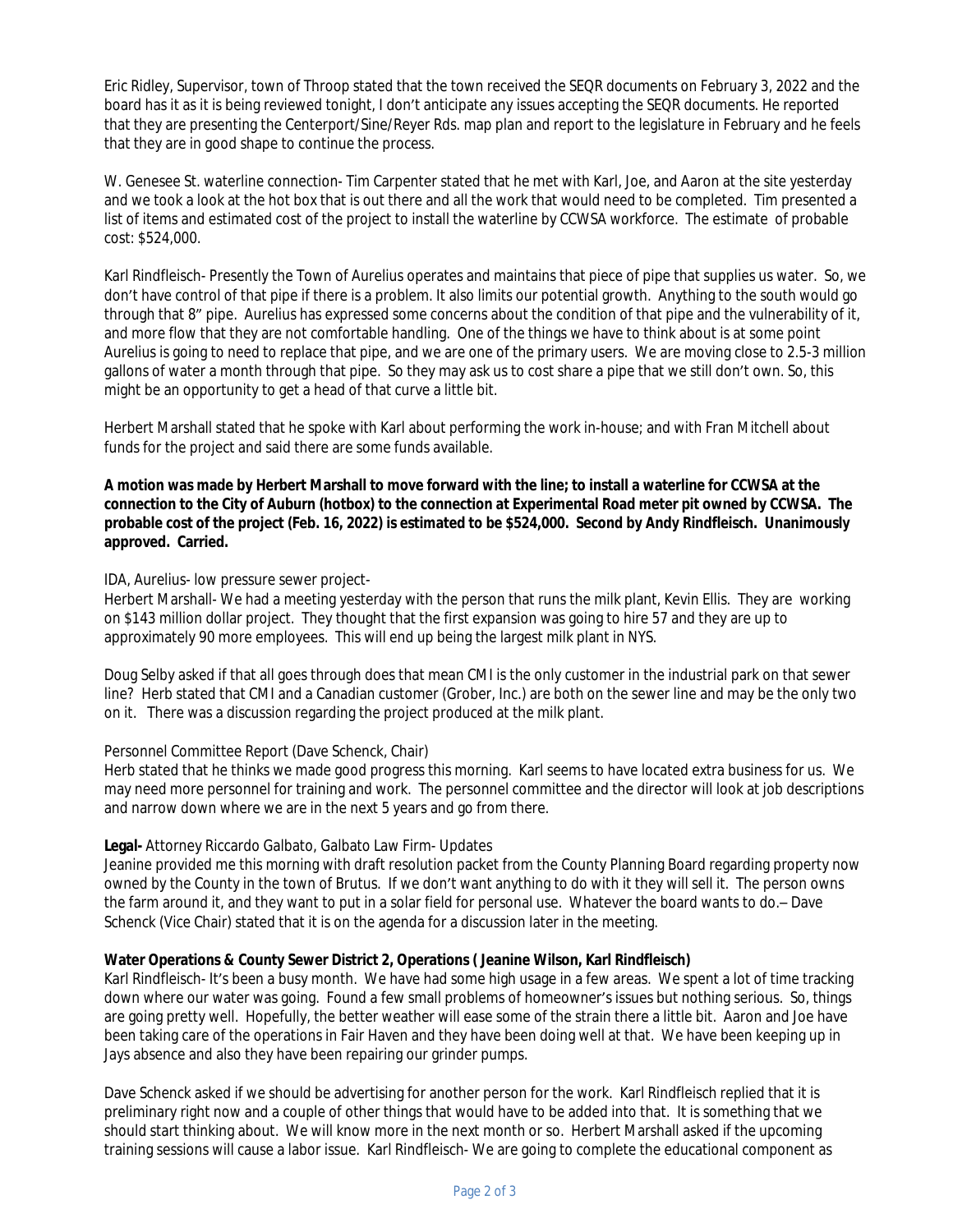Eric Ridley, Supervisor, town of Throop stated that the town received the SEQR documents on February 3, 2022 and the board has it as it is being reviewed tonight, I don't anticipate any issues accepting the SEQR documents. He reported that they are presenting the Centerport/Sine/Reyer Rds. map plan and report to the legislature in February and he feels that they are in good shape to continue the process.

W. Genesee St. waterline connection- Tim Carpenter stated that he met with Karl, Joe, and Aaron at the site yesterday and we took a look at the hot box that is out there and all the work that would need to be completed. Tim presented a list of items and estimated cost of the project to install the waterline by CCWSA workforce. The estimate of probable cost: \$524,000.

Karl Rindfleisch- Presently the Town of Aurelius operates and maintains that piece of pipe that supplies us water. So, we don't have control of that pipe if there is a problem. It also limits our potential growth. Anything to the south would go through that 8" pipe. Aurelius has expressed some concerns about the condition of that pipe and the vulnerability of it, and more flow that they are not comfortable handling. One of the things we have to think about is at some point Aurelius is going to need to replace that pipe, and we are one of the primary users. We are moving close to 2.5-3 million gallons of water a month through that pipe. So they may ask us to cost share a pipe that we still don't own. So, this might be an opportunity to get a head of that curve a little bit.

Herbert Marshall stated that he spoke with Karl about performing the work in-house; and with Fran Mitchell about funds for the project and said there are some funds available.

### **A motion was made by Herbert Marshall to move forward with the line; to install a waterline for CCWSA at the connection to the City of Auburn (hotbox) to the connection at Experimental Road meter pit owned by CCWSA. The probable cost of the project (Feb. 16, 2022) is estimated to be \$524,000. Second by Andy Rindfleisch. Unanimously approved. Carried.**

## IDA, Aurelius- low pressure sewer project-

Herbert Marshall- We had a meeting yesterday with the person that runs the milk plant, Kevin Ellis. They are working on \$143 million dollar project. They thought that the first expansion was going to hire 57 and they are up to approximately 90 more employees. This will end up being the largest milk plant in NYS.

Doug Selby asked if that all goes through does that mean CMI is the only customer in the industrial park on that sewer line? Herb stated that CMI and a Canadian customer (Grober, Inc.) are both on the sewer line and may be the only two on it. There was a discussion regarding the project produced at the milk plant.

#### Personnel Committee Report (Dave Schenck, Chair)

Herb stated that he thinks we made good progress this morning. Karl seems to have located extra business for us. We may need more personnel for training and work. The personnel committee and the director will look at job descriptions and narrow down where we are in the next 5 years and go from there.

# **Legal-** Attorney Riccardo Galbato, Galbato Law Firm- Updates

Jeanine provided me this morning with draft resolution packet from the County Planning Board regarding property now owned by the County in the town of Brutus. If we don't want anything to do with it they will sell it. The person owns the farm around it, and they want to put in a solar field for personal use. Whatever the board wants to do.– Dave Schenck (Vice Chair) stated that it is on the agenda for a discussion later in the meeting.

# **Water Operations & County Sewer District 2, Operations ( Jeanine Wilson, Karl Rindfleisch)**

Karl Rindfleisch- It's been a busy month. We have had some high usage in a few areas. We spent a lot of time tracking down where our water was going. Found a few small problems of homeowner's issues but nothing serious. So, things are going pretty well. Hopefully, the better weather will ease some of the strain there a little bit. Aaron and Joe have been taking care of the operations in Fair Haven and they have been doing well at that. We have been keeping up in Jays absence and also they have been repairing our grinder pumps.

Dave Schenck asked if we should be advertising for another person for the work. Karl Rindfleisch replied that it is preliminary right now and a couple of other things that would have to be added into that. It is something that we should start thinking about. We will know more in the next month or so. Herbert Marshall asked if the upcoming training sessions will cause a labor issue. Karl Rindfleisch- We are going to complete the educational component as